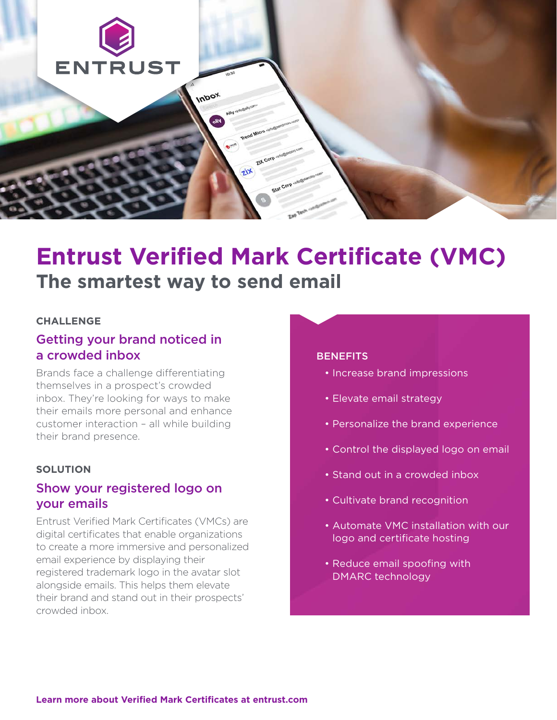

# **Entrust Verified Mark Certificate (VMC) The smartest way to send email**

#### **CHALLENGE**

## Getting your brand noticed in a crowded inbox

Brands face a challenge differentiating themselves in a prospect's crowded inbox. They're looking for ways to make their emails more personal and enhance customer interaction – all while building their brand presence.

#### **SOLUTION**

## Show your registered logo on your emails

Entrust Verified Mark Certificates (VMCs) are digital certificates that enable organizations to create a more immersive and personalized email experience by displaying their registered trademark logo in the avatar slot alongside emails. This helps them elevate their brand and stand out in their prospects' crowded inbox.

#### **BENEFITS**

- Increase brand impressions
- Elevate email strategy
- Personalize the brand experience
- Control the displayed logo on email
- Stand out in a crowded inbox
- Cultivate brand recognition
- Automate VMC installation with our logo and certificate hosting
- Reduce email spoofing with DMARC technology